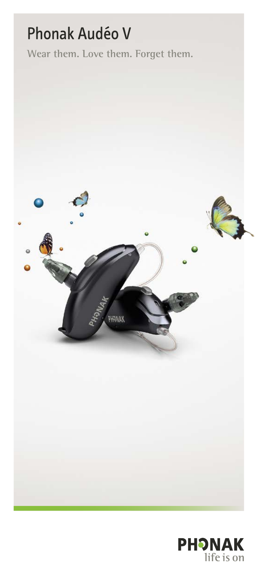# Phonak Audéo V

**Wear them. Love them. Forget them.**



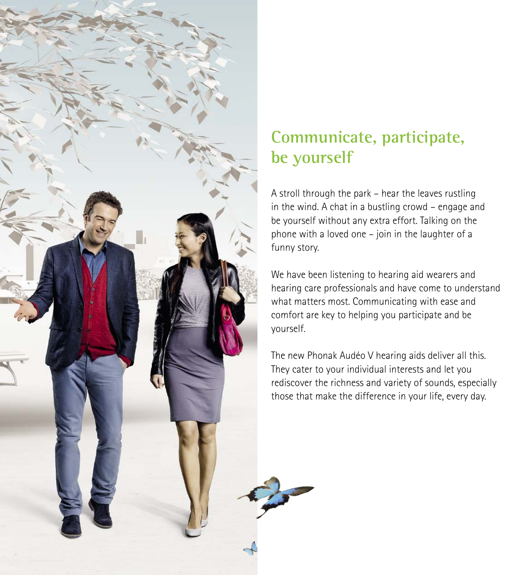

# **Communicate, participate, be yourself**

A stroll through the park – hear the leaves rustling in the wind. A chat in a bustling crowd – engage and be yourself without any extra effort. Talking on the phone with a loved one – join in the laughter of a funny story.

We have been listening to hearing aid wearers and hearing care professionals and have come to understand what matters most. Communicating with ease and comfort are key to helping you participate and be yourself.

The new Phonak Audéo V hearing aids deliver all this. They cater to your individual interests and let you rediscover the richness and variety of sounds, especially those that make the difference in your life, every day.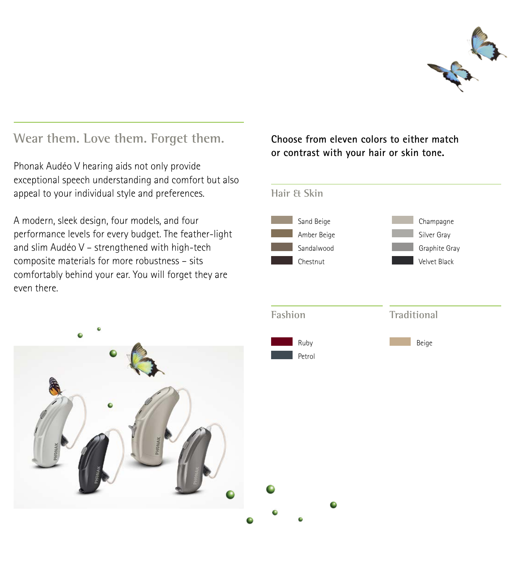

#### **Wear them. Love them. Forget them.**

Phonak Audéo V hearing aids not only provide exceptional speech understanding and comfort but also appeal to your individual style and preferences.

A modern, sleek design, four models, and four performance levels for every budget. The feather-light and slim Audéo V – strengthened with high-tech composite materials for more robustness – sits comfortably behind your ear. You will forget they are even there.

**Choose from eleven colors to either match or contrast with your hair or skin tone.**

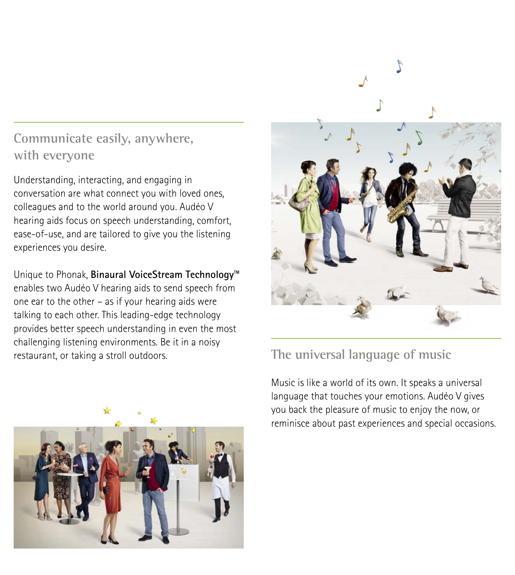# **Communicate easily, anywhere, with everyone**

Understanding, interacting, and engaging in conversation are what connect you with loved ones, colleagues and to the world around you. Audéo V hearing aids focus on speech understanding, comfort, ease-of-use, and are tailored to give you the listening experiences you desire.

Unique to Phonak, **Binaural VoiceStream Technology™** enables two Audéo V hearing aids to send speech from one ear to the other – as if your hearing aids were talking to each other. This leading-edge technology provides better speech understanding in even the most challenging listening environments. Be it in a noisy restaurant, or taking a stroll outdoors. **The universal language of music**





Music is like a world of its own. It speaks a universal language that touches your emotions. Audéo V gives you back the pleasure of music to enjoy the now, or reminisce about past experiences and special occasions.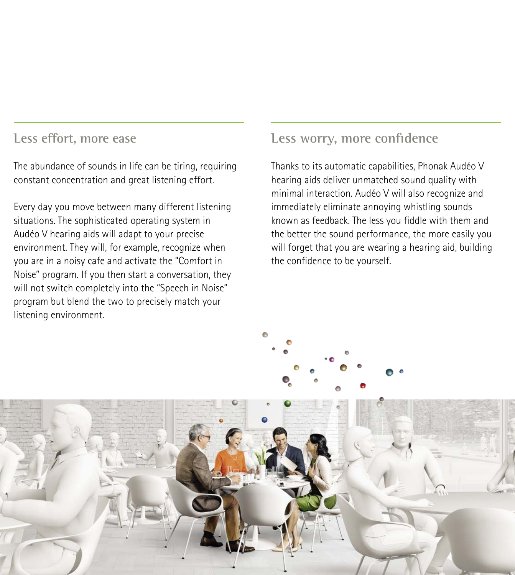#### **Less effort, more ease**

The abundance of sounds in life can be tiring, requiring constant concentration and great listening effort.

Every day you move between many different listening situations. The sophisticated operating system in Audéo V hearing aids will adapt to your precise environment. They will, for example, recognize when you are in a noisy cafe and activate the "Comfort in Noise" program. If you then start a conversation, they will not switch completely into the "Speech in Noise" program but blend the two to precisely match your listening environment.

### **Less worry, more confidence**

Thanks to its automatic capabilities, Phonak Audéo V hearing aids deliver unmatched sound quality with minimal interaction. Audéo V will also recognize and immediately eliminate annoying whistling sounds known as feedback. The less you fiddle with them and the better the sound performance, the more easily you will forget that you are wearing a hearing aid, building the confidence to be yourself.



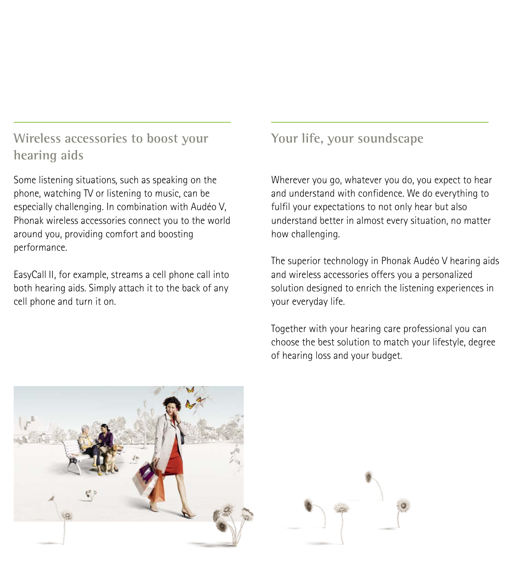## **Wireless accessories to boost your hearing aids**

Some listening situations, such as speaking on the phone, watching TV or listening to music, can be especially challenging. In combination with Audéo V, Phonak wireless accessories connect you to the world around you, providing comfort and boosting performance.

EasyCall II, for example, streams a cell phone call into both hearing aids. Simply attach it to the back of any cell phone and turn it on.

# **Your life, your soundscape**

Wherever you go, whatever you do, you expect to hear and understand with confidence. We do everything to fulfil your expectations to not only hear but also understand better in almost every situation, no matter how challenging.

The superior technology in Phonak Audéo V hearing aids and wireless accessories offers you a personalized solution designed to enrich the listening experiences in your everyday life.

Together with your hearing care professional you can choose the best solution to match your lifestyle, degree of hearing loss and your budget.